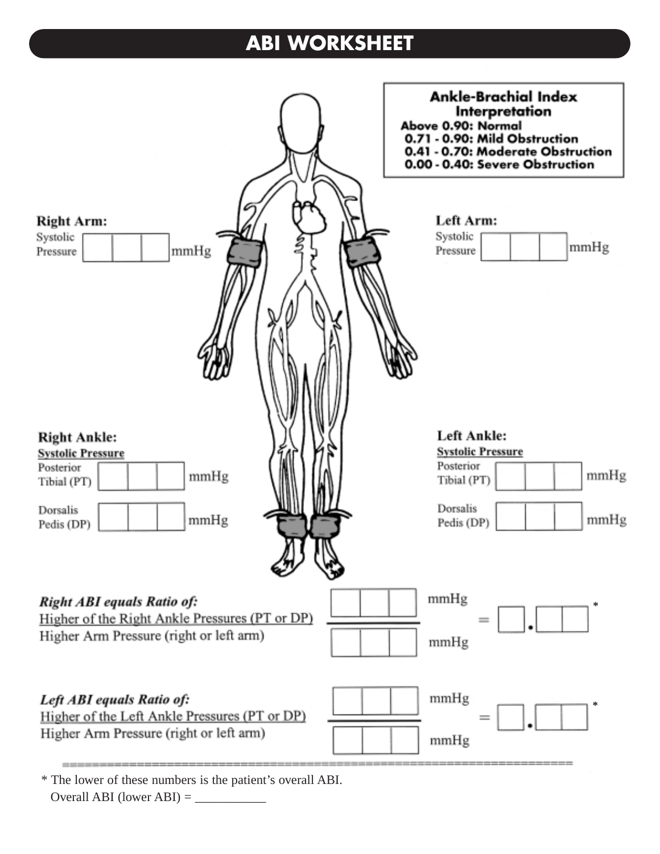## **ABI WORKSHEET**



\* The lower of these numbers is the patient's overall ABI.  $Overall ABI (lower ABI) = \_$